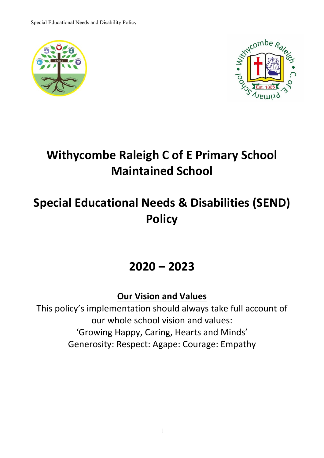



## **Withycombe Raleigh C of E Primary School Maintained School**

# **Special Educational Needs & Disabilities (SEND) Policy**

## **2020 – 2023**

**Our Vision and Values**

This policy's implementation should always take full account of our whole school vision and values: 'Growing Happy, Caring, Hearts and Minds' Generosity: Respect: Agape: Courage: Empathy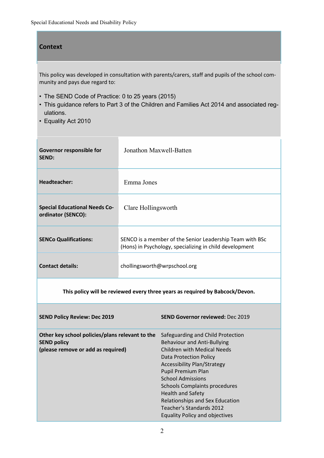#### **Context**

This policy was developed in consultation with parents/carers, staff and pupils of the school community and pays due regard to:

- The SEND Code of Practice: 0 to 25 years (2015)
- This guidance refers to Part 3 of the Children and Families Act 2014 and associated regulations.
- Equality Act 2010

| Governor responsible for<br><b>SEND:</b>                                                                    | Jonathon Maxwell-Batten      |                                                                                                                                                                                                                                                                                                                                               |
|-------------------------------------------------------------------------------------------------------------|------------------------------|-----------------------------------------------------------------------------------------------------------------------------------------------------------------------------------------------------------------------------------------------------------------------------------------------------------------------------------------------|
| Headteacher:                                                                                                | Emma Jones                   |                                                                                                                                                                                                                                                                                                                                               |
| <b>Special Educational Needs Co-</b><br>ordinator (SENCO):                                                  | Clare Hollingsworth          |                                                                                                                                                                                                                                                                                                                                               |
| <b>SENCo Qualifications:</b>                                                                                |                              | SENCO is a member of the Senior Leadership Team with BSc<br>(Hons) in Psychology, specializing in child development                                                                                                                                                                                                                           |
| <b>Contact details:</b>                                                                                     | chollingsworth@wrpschool.org |                                                                                                                                                                                                                                                                                                                                               |
| This policy will be reviewed every three years as required by Babcock/Devon.                                |                              |                                                                                                                                                                                                                                                                                                                                               |
| <b>SEND Policy Review: Dec 2019</b>                                                                         |                              | <b>SEND Governor reviewed: Dec 2019</b>                                                                                                                                                                                                                                                                                                       |
| Other key school policies/plans relevant to the<br><b>SEND policy</b><br>(please remove or add as required) |                              | Safeguarding and Child Protection<br><b>Behaviour and Anti-Bullying</b><br><b>Children with Medical Needs</b><br><b>Data Protection Policy</b><br><b>Accessibility Plan/Strategy</b><br>Pupil Premium Plan<br><b>School Admissions</b><br><b>Schools Complaints procedures</b><br><b>Health and Safety</b><br>Relationships and Sex Education |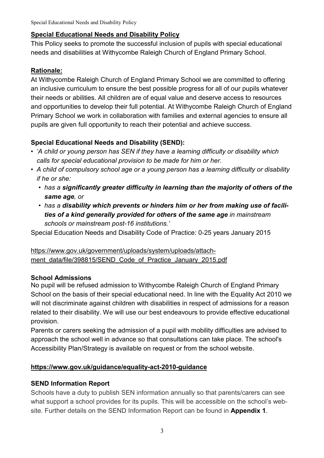#### **Special Educational Needs and Disability Policy**

This Policy seeks to promote the successful inclusion of pupils with special educational needs and disabilities at Withycombe Raleigh Church of England Primary School.

#### **Rationale:**

At Withycombe Raleigh Church of England Primary School we are committed to offering an inclusive curriculum to ensure the best possible progress for all of our pupils whatever their needs or abilities. All children are of equal value and deserve access to resources and opportunities to develop their full potential. At Withycombe Raleigh Church of England Primary School we work in collaboration with families and external agencies to ensure all pupils are given full opportunity to reach their potential and achieve success.

## **Special Educational Needs and Disability (SEND):**

- *'A child or young person has SEN if they have a learning difficulty or disability which calls for special educational provision to be made for him or her.*
- *A child of compulsory school age or a young person has a learning difficulty or disability if he or she:*
	- *has a significantly greater difficulty in learning than the majority of others of the same age, or*
	- *has a disability which prevents or hinders him or her from making use of facilities of a kind generally provided for others of the same age in mainstream schools or mainstream post-16 institutions.'*

Special Education Needs and Disability Code of Practice: 0-25 years January 2015

## [https://www.gov.uk/government/uploads/system/uploads/attach](https://www.gov.uk/government/uploads/system/uploads/attachment_data/file/398815/SEND_Code_of_Practice_January_2015.pdf)ment data/file/398815/SEND Code of Practice January 2015.pdf

#### **School Admissions**

No pupil will be refused admission to Withycombe Raleigh Church of England Primary School on the basis of their special educational need. In line with the Equality Act 2010 we will not discriminate against children with disabilities in respect of admissions for a reason related to their disability. We will use our best endeavours to provide effective educational provision.

Parents or carers seeking the admission of a pupil with mobility difficulties are advised to approach the school well in advance so that consultations can take place. The school's Accessibility Plan/Strategy is available on request or from the school website.

#### **[https://www.gov.uk/guidance/equality-act-2010-guidance](https://www.gov.uk/guidance/equality-act-2010-guidance%23history)**

#### **SEND Information Report**

Schools have a duty to publish SEN information annually so that parents/carers can see what support a school provides for its pupils. This will be accessible on the school's website. Further details on the SEND Information Report can be found in **Appendix 1**.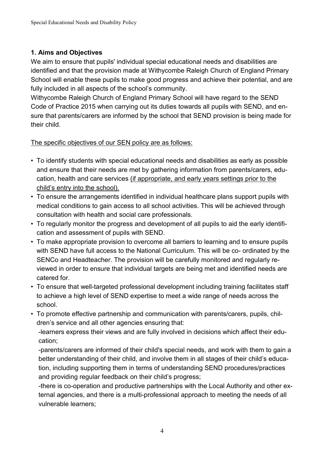## **1. Aims and Objectives**

We aim to ensure that pupils' individual special educational needs and disabilities are identified and that the provision made at Withycombe Raleigh Church of England Primary School will enable these pupils to make good progress and achieve their potential, and are fully included in all aspects of the school's community.

Withycombe Raleigh Church of England Primary School will have regard to the SEND Code of Practice 2015 when carrying out its duties towards all pupils with SEND, and ensure that parents/carers are informed by the school that SEND provision is being made for their child.

## The specific objectives of our SEN policy are as follows:

- To identify students with special educational needs and disabilities as early as possible and ensure that their needs are met by gathering information from parents/carers, education, health and care services (if appropriate, and early years settings prior to the child's entry into the school).
- To ensure the arrangements identified in individual healthcare plans support pupils with medical conditions to gain access to all school activities. This will be achieved through consultation with health and social care professionals.
- To regularly monitor the progress and development of all pupils to aid the early identification and assessment of pupils with SEND.
- To make appropriate provision to overcome all barriers to learning and to ensure pupils with SEND have full access to the National Curriculum. This will be co- ordinated by the SENCo and Headteacher. The provision will be carefully monitored and regularly reviewed in order to ensure that individual targets are being met and identified needs are catered for.
- To ensure that well-targeted professional development including training facilitates staff to achieve a high level of SEND expertise to meet a wide range of needs across the school.
- To promote effective partnership and communication with parents/carers, pupils, children's service and all other agencies ensuring that:

-learners express their views and are fully involved in decisions which affect their education;

-parents/carers are informed of their child's special needs, and work with them to gain a better understanding of their child, and involve them in all stages of their child's education, including supporting them in terms of understanding SEND procedures/practices and providing regular feedback on their child's progress;

-there is co-operation and productive partnerships with the Local Authority and other external agencies, and there is a multi-professional approach to meeting the needs of all vulnerable learners;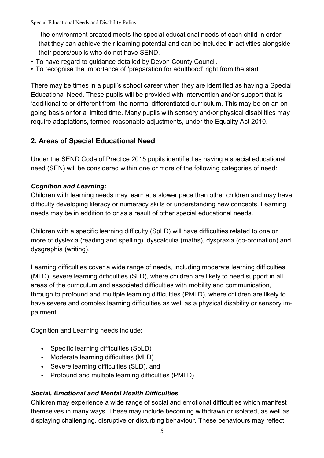-the environment created meets the special educational needs of each child in order that they can achieve their learning potential and can be included in activities alongside their peers/pupils who do not have SEND.

- To have regard to guidance detailed by Devon County Council.
- To recognise the importance of 'preparation for adulthood' right from the start

There may be times in a pupil's school career when they are identified as having a Special Educational Need. These pupils will be provided with intervention and/or support that is 'additional to or different from' the normal differentiated curriculum. This may be on an ongoing basis or for a limited time. Many pupils with sensory and/or physical disabilities may require adaptations, termed reasonable adjustments, under the Equality Act 2010.

## **2. Areas of Special Educational Need**

Under the SEND Code of Practice 2015 pupils identified as having a special educational need (SEN) will be considered within one or more of the following categories of need:

#### *Cognition and Learning;*

Children with learning needs may learn at a slower pace than other children and may have difficulty developing literacy or numeracy skills or understanding new concepts. Learning needs may be in addition to or as a result of other special educational needs.

Children with a specific learning difficulty (SpLD) will have difficulties related to one or more of dyslexia (reading and spelling), dyscalculia (maths), dyspraxia (co-ordination) and dysgraphia (writing).

Learning difficulties cover a wide range of needs, including moderate learning difficulties (MLD), severe learning difficulties (SLD), where children are likely to need support in all areas of the curriculum and associated difficulties with mobility and communication, through to profound and multiple learning difficulties (PMLD), where children are likely to have severe and complex learning difficulties as well as a physical disability or sensory impairment.

Cognition and Learning needs include:

- Specific learning difficulties (SpLD)
- Moderate learning difficulties (MLD)
- Severe learning difficulties (SLD), and
- Profound and multiple learning difficulties (PMLD)

## *Social, Emotional and Mental Health Difficulties*

Children may experience a wide range of social and emotional difficulties which manifest themselves in many ways. These may include becoming withdrawn or isolated, as well as displaying challenging, disruptive or disturbing behaviour. These behaviours may reflect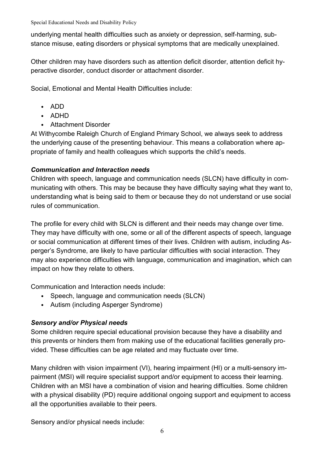underlying mental health difficulties such as anxiety or depression, self-harming, substance misuse, eating disorders or physical symptoms that are medically unexplained.

Other children may have disorders such as attention deficit disorder, attention deficit hyperactive disorder, conduct disorder or attachment disorder.

Social, Emotional and Mental Health Difficulties include:

- ADD
- ADHD
- Attachment Disorder

At Withycombe Raleigh Church of England Primary School, we always seek to address the underlying cause of the presenting behaviour. This means a collaboration where appropriate of family and health colleagues which supports the child's needs.

## *Communication and Interaction needs*

Children with speech, language and communication needs (SLCN) have difficulty in communicating with others. This may be because they have difficulty saying what they want to, understanding what is being said to them or because they do not understand or use social rules of communication.

The profile for every child with SLCN is different and their needs may change over time. They may have difficulty with one, some or all of the different aspects of speech, language or social communication at different times of their lives. Children with autism, including Asperger's Syndrome, are likely to have particular difficulties with social interaction. They may also experience difficulties with language, communication and imagination, which can impact on how they relate to others.

Communication and Interaction needs include:

- Speech, language and communication needs (SLCN)
- Autism (including Asperger Syndrome)

## *Sensory and/or Physical needs*

Some children require special educational provision because they have a disability and this prevents or hinders them from making use of the educational facilities generally provided. These difficulties can be age related and may fluctuate over time.

Many children with vision impairment (VI), hearing impairment (HI) or a multi-sensory impairment (MSI) will require specialist support and/or equipment to access their learning. Children with an MSI have a combination of vision and hearing difficulties. Some children with a physical disability (PD) require additional ongoing support and equipment to access all the opportunities available to their peers.

Sensory and/or physical needs include: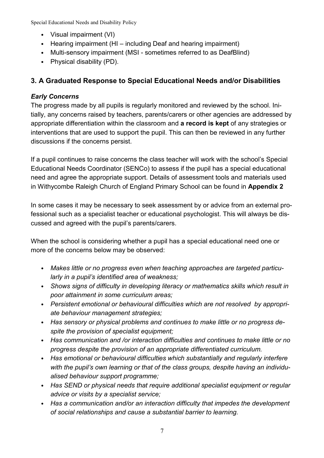- Visual impairment (VI)
- Hearing impairment (HI including Deaf and hearing impairment)
- Multi-sensory impairment (MSI sometimes referred to as DeafBlind)
- Physical disability (PD).

## **3. A Graduated Response to Special Educational Needs and/or Disabilities**

## *Early Concerns*

The progress made by all pupils is regularly monitored and reviewed by the school. Initially, any concerns raised by teachers, parents/carers or other agencies are addressed by appropriate differentiation within the classroom and **a record is kept** of any strategies or interventions that are used to support the pupil. This can then be reviewed in any further discussions if the concerns persist.

If a pupil continues to raise concerns the class teacher will work with the school's Special Educational Needs Coordinator (SENCo) to assess if the pupil has a special educational need and agree the appropriate support. Details of assessment tools and materials used in Withycombe Raleigh Church of England Primary School can be found in **Appendix 2**

In some cases it may be necessary to seek assessment by or advice from an external professional such as a specialist teacher or educational psychologist. This will always be discussed and agreed with the pupil's parents/carers.

When the school is considering whether a pupil has a special educational need one or more of the concerns below may be observed:

- *Makes little or no progress even when teaching approaches are targeted particularly in a pupil's identified area of weakness;*
- *Shows signs of difficulty in developing literacy or mathematics skills which result in poor attainment in some curriculum areas;*
- *Persistent emotional or behavioural difficulties which are not resolved by appropriate behaviour management strategies;*
- *Has sensory or physical problems and continues to make little or no progress despite the provision of specialist equipment;*
- *Has communication and /or interaction difficulties and continues to make little or no progress despite the provision of an appropriate differentiated curriculum.*
- *Has emotional or behavioural difficulties which substantially and regularly interfere with the pupil's own learning or that of the class groups, despite having an individualised behaviour support programme;*
- *Has SEND or physical needs that require additional specialist equipment or regular advice or visits by a specialist service;*
- *Has a communication and/or an interaction difficulty that impedes the development of social relationships and cause a substantial barrier to learning.*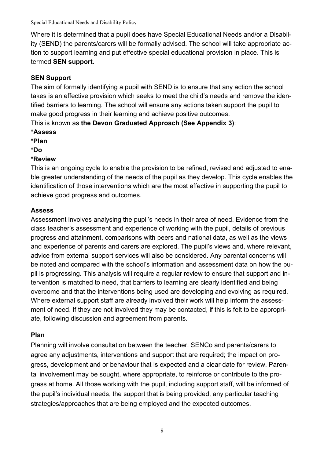Where it is determined that a pupil does have Special Educational Needs and/or a Disability (SEND) the parents/carers will be formally advised. The school will take appropriate action to support learning and put effective special educational provision in place. This is termed **SEN support**.

## **SEN Support**

The aim of formally identifying a pupil with SEND is to ensure that any action the school takes is an effective provision which seeks to meet the child's needs and remove the identified barriers to learning. The school will ensure any actions taken support the pupil to make good progress in their learning and achieve positive outcomes.

This is known as **the Devon Graduated Approach (See Appendix 3)**:

- **\*Assess**
- **\*Plan**
- **\*Do**

## **\*Review**

This is an ongoing cycle to enable the provision to be refined, revised and adjusted to enable greater understanding of the needs of the pupil as they develop. This cycle enables the identification of those interventions which are the most effective in supporting the pupil to achieve good progress and outcomes.

#### **Assess**

Assessment involves analysing the pupil's needs in their area of need. Evidence from the class teacher's assessment and experience of working with the pupil, details of previous progress and attainment, comparisons with peers and national data, as well as the views and experience of parents and carers are explored. The pupil's views and, where relevant, advice from external support services will also be considered. Any parental concerns will be noted and compared with the school's information and assessment data on how the pupil is progressing. This analysis will require a regular review to ensure that support and intervention is matched to need, that barriers to learning are clearly identified and being overcome and that the interventions being used are developing and evolving as required. Where external support staff are already involved their work will help inform the assessment of need. If they are not involved they may be contacted, if this is felt to be appropriate, following discussion and agreement from parents.

## **Plan**

Planning will involve consultation between the teacher, SENCo and parents/carers to agree any adjustments, interventions and support that are required; the impact on progress, development and or behaviour that is expected and a clear date for review. Parental involvement may be sought, where appropriate, to reinforce or contribute to the progress at home. All those working with the pupil, including support staff, will be informed of the pupil's individual needs, the support that is being provided, any particular teaching strategies/approaches that are being employed and the expected outcomes.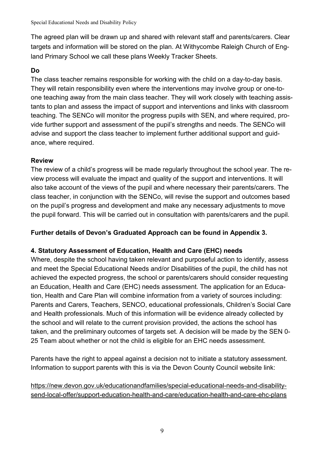The agreed plan will be drawn up and shared with relevant staff and parents/carers. Clear targets and information will be stored on the plan. At Withycombe Raleigh Church of England Primary School we call these plans Weekly Tracker Sheets.

## **Do**

The class teacher remains responsible for working with the child on a day-to-day basis. They will retain responsibility even where the interventions may involve group or one-toone teaching away from the main class teacher. They will work closely with teaching assistants to plan and assess the impact of support and interventions and links with classroom teaching. The SENCo will monitor the progress pupils with SEN, and where required, provide further support and assessment of the pupil's strengths and needs. The SENCo will advise and support the class teacher to implement further additional support and guidance, where required.

#### **Review**

The review of a child's progress will be made regularly throughout the school year. The review process will evaluate the impact and quality of the support and interventions. It will also take account of the views of the pupil and where necessary their parents/carers. The class teacher, in conjunction with the SENCo, will revise the support and outcomes based on the pupil's progress and development and make any necessary adjustments to move the pupil forward. This will be carried out in consultation with parents/carers and the pupil.

## **Further details of Devon's Graduated Approach can be found in Appendix 3.**

## **4. Statutory Assessment of Education, Health and Care (EHC) needs**

Where, despite the school having taken relevant and purposeful action to identify, assess and meet the Special Educational Needs and/or Disabilities of the pupil, the child has not achieved the expected progress, the school or parents/carers should consider requesting an Education, Health and Care (EHC) needs assessment. The application for an Education, Health and Care Plan will combine information from a variety of sources including: Parents and Carers, Teachers, SENCO, educational professionals, Children's Social Care and Health professionals. Much of this information will be evidence already collected by the school and will relate to the current provision provided, the actions the school has taken, and the preliminary outcomes of targets set. A decision will be made by the SEN 0- 25 Team about whether or not the child is eligible for an EHC needs assessment.

Parents have the right to appeal against a decision not to initiate a statutory assessment. Information to support parents with this is via the Devon County Council website link:

[https://new.devon.gov.uk/educationandfamilies/special-educational-needs-and-disability](https://new.devon.gov.uk/educationandfamilies/special-educational-needs-and-disability-send-local-offer/support-education-health-and-care/education-health-and-care-ehc-plans)[send-local-offer/support-education-health-and-care/education-health-and-care-ehc-plans](https://new.devon.gov.uk/educationandfamilies/special-educational-needs-and-disability-send-local-offer/support-education-health-and-care/education-health-and-care-ehc-plans)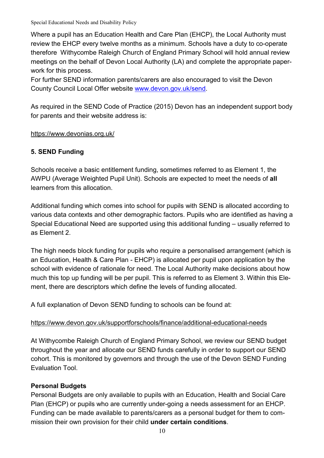Where a pupil has an Education Health and Care Plan (EHCP), the Local Authority must review the EHCP every twelve months as a minimum. Schools have a duty to co-operate therefore Withycombe Raleigh Church of England Primary School will hold annual review meetings on the behalf of Devon Local Authority (LA) and complete the appropriate paperwork for this process.

For further SEND information parents/carers are also encouraged to visit the Devon County Council Local Offer website [www.devon.gov.uk/send.](http://www.devon.gov.uk/send)

As required in the SEND Code of Practice (2015) Devon has an independent support body for parents and their website address is:

#### <https://www.devonias.org.uk/>

#### **5. SEND Funding**

Schools receive a basic entitlement funding, sometimes referred to as Element 1, the AWPU (Average Weighted Pupil Unit). Schools are expected to meet the needs of **all** learners from this allocation.

Additional funding which comes into school for pupils with SEND is allocated according to various data contexts and other demographic factors. Pupils who are identified as having a Special Educational Need are supported using this additional funding – usually referred to as Element 2.

The high needs block funding for pupils who require a personalised arrangement (which is an Education, Health & Care Plan - EHCP) is allocated per pupil upon application by the school with evidence of rationale for need. The Local Authority make decisions about how much this top up funding will be per pupil. This is referred to as Element 3. Within this Element, there are descriptors which define the levels of funding allocated.

A full explanation of Devon SEND funding to schools can be found at:

#### <https://www.devon.gov.uk/supportforschools/finance/additional-educational-needs>

At Withycombe Raleigh Church of England Primary School, we review our SEND budget throughout the year and allocate our SEND funds carefully in order to support our SEND cohort. This is monitored by governors and through the use of the Devon SEND Funding Evaluation Tool.

#### **Personal Budgets**

Personal Budgets are only available to pupils with an Education, Health and Social Care Plan (EHCP) or pupils who are currently under-going a needs assessment for an EHCP. Funding can be made available to parents/carers as a personal budget for them to commission their own provision for their child **under certain conditions**.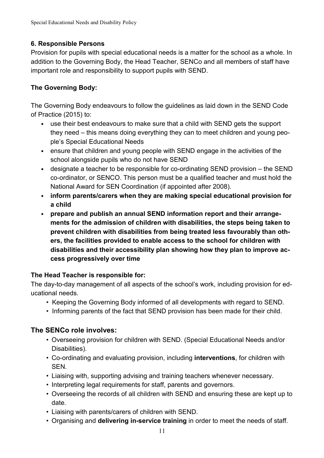## **6. Responsible Persons**

Provision for pupils with special educational needs is a matter for the school as a whole. In addition to the Governing Body, the Head Teacher, SENCo and all members of staff have important role and responsibility to support pupils with SEND.

## **The Governing Body:**

The Governing Body endeavours to follow the guidelines as laid down in the SEND Code of Practice (2015) to:

- use their best endeavours to make sure that a child with SEND gets the support they need – this means doing everything they can to meet children and young people's Special Educational Needs
- ensure that children and young people with SEND engage in the activities of the school alongside pupils who do not have SEND
- designate a teacher to be responsible for co-ordinating SEND provision the SEND co-ordinator, or SENCO. This person must be a qualified teacher and must hold the National Award for SEN Coordination (if appointed after 2008).
- **inform parents/carers when they are making special educational provision for a child**
- **prepare and publish an annual SEND information report and their arrangements for the admission of children with disabilities, the steps being taken to prevent children with disabilities from being treated less favourably than others, the facilities provided to enable access to the school for children with disabilities and their accessibility plan showing how they plan to improve access progressively over time**

## **The Head Teacher is responsible for:**

The day-to-day management of all aspects of the school's work, including provision for educational needs.

- Keeping the Governing Body informed of all developments with regard to SEND.
- Informing parents of the fact that SEND provision has been made for their child.

## **The SENCo role involves:**

- Overseeing provision for children with SEND. (Special Educational Needs and/or Disabilities).
- Co-ordinating and evaluating provision, including **interventions**, for children with SEN.
- Liaising with, supporting advising and training teachers whenever necessary.
- Interpreting legal requirements for staff, parents and governors.
- Overseeing the records of all children with SEND and ensuring these are kept up to date.
- Liaising with parents/carers of children with SEND.
- Organising and **delivering in-service training** in order to meet the needs of staff.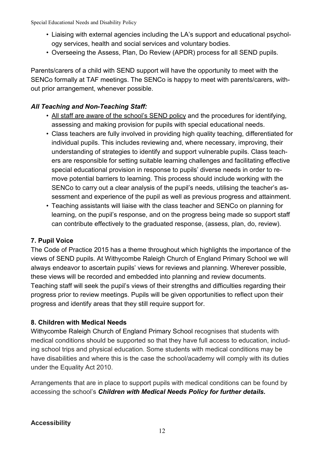- Liaising with external agencies including the LA's support and educational psychology services, health and social services and voluntary bodies.
- Overseeing the Assess, Plan, Do Review (APDR) process for all SEND pupils.

Parents/carers of a child with SEND support will have the opportunity to meet with the SENCo formally at TAF meetings. The SENCo is happy to meet with parents/carers, without prior arrangement, whenever possible.

## *All Teaching and Non-Teaching Staff:*

- All staff are aware of the school's SEND policy and the procedures for identifying, assessing and making provision for pupils with special educational needs.
- Class teachers are fully involved in providing high quality teaching, differentiated for individual pupils. This includes reviewing and, where necessary, improving, their understanding of strategies to identify and support vulnerable pupils. Class teachers are responsible for setting suitable learning challenges and facilitating effective special educational provision in response to pupils' diverse needs in order to remove potential barriers to learning. This process should include working with the SENCo to carry out a clear analysis of the pupil's needs, utilising the teacher's assessment and experience of the pupil as well as previous progress and attainment.
- Teaching assistants will liaise with the class teacher and SENCo on planning for learning, on the pupil's response, and on the progress being made so support staff can contribute effectively to the graduated response, (assess, plan, do, review).

## **7. Pupil Voice**

The Code of Practice 2015 has a theme throughout which highlights the importance of the views of SEND pupils. At Withycombe Raleigh Church of England Primary School we will always endeavor to ascertain pupils' views for reviews and planning. Wherever possible, these views will be recorded and embedded into planning and review documents. Teaching staff will seek the pupil's views of their strengths and difficulties regarding their progress prior to review meetings. Pupils will be given opportunities to reflect upon their progress and identify areas that they still require support for.

#### **8. Children with Medical Needs**

Withycombe Raleigh Church of England Primary School recognises that students with medical conditions should be supported so that they have full access to education, including school trips and physical education. Some students with medical conditions may be have disabilities and where this is the case the school/academy will comply with its duties under the Equality Act 2010.

Arrangements that are in place to support pupils with medical conditions can be found by accessing the school's *Children with Medical Needs Policy for further details.*

#### **Accessibility**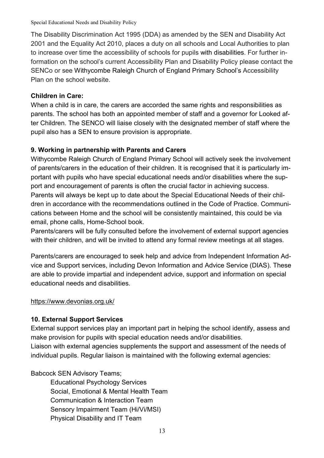The Disability Discrimination Act 1995 (DDA) as amended by the SEN and Disability Act 2001 and the Equality Act 2010, places a duty on all schools and Local Authorities to plan to increase over time the accessibility of schools for pupils with disabilities. For further information on the school's current Accessibility Plan and Disability Policy please contact the SENCo or see Withycombe Raleigh Church of England Primary School's Accessibility Plan on the school website.

## **Children in Care:**

When a child is in care, the carers are accorded the same rights and responsibilities as parents. The school has both an appointed member of staff and a governor for Looked after Children. The SENCO will liaise closely with the designated member of staff where the pupil also has a SEN to ensure provision is appropriate.

## **9. Working in partnership with Parents and Carers**

Withycombe Raleigh Church of England Primary School will actively seek the involvement of parents/carers in the education of their children. It is recognised that it is particularly important with pupils who have special educational needs and/or disabilities where the support and encouragement of parents is often the crucial factor in achieving success. Parents will always be kept up to date about the Special Educational Needs of their children in accordance with the recommendations outlined in the Code of Practice. Communications between Home and the school will be consistently maintained, this could be via email, phone calls, Home-School book.

Parents/carers will be fully consulted before the involvement of external support agencies with their children, and will be invited to attend any formal review meetings at all stages.

Parents/carers are encouraged to seek help and advice from Independent Information Advice and Support services, including Devon Information and Advice Service (DIAS). These are able to provide impartial and independent advice, support and information on special educational needs and disabilities.

## <https://www.devonias.org.uk/>

## **10. External Support Services**

External support services play an important part in helping the school identify, assess and make provision for pupils with special education needs and/or disabilities. Liaison with external agencies supplements the support and assessment of the needs of individual pupils. Regular liaison is maintained with the following external agencies:

Babcock SEN Advisory Teams;

Educational Psychology Services Social, Emotional & Mental Health Team Communication & Interaction Team Sensory Impairment Team (Hi/Vi/MSI) Physical Disability and IT Team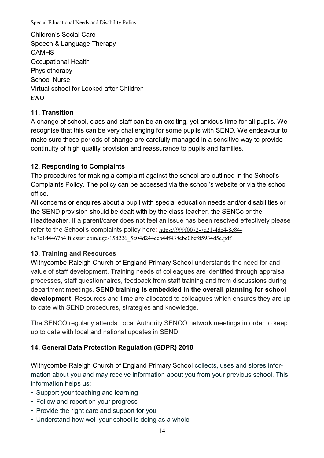Children's Social Care Speech & Language Therapy **CAMHS** Occupational Health Physiotherapy School Nurse Virtual school for Looked after Children **FWO** 

#### **11. Transition**

A change of school, class and staff can be an exciting, yet anxious time for all pupils. We recognise that this can be very challenging for some pupils with SEND. We endeavour to make sure these periods of change are carefully managed in a sensitive way to provide continuity of high quality provision and reassurance to pupils and families.

#### **12. Responding to Complaints**

The procedures for making a complaint against the school are outlined in the School's Complaints Policy. The policy can be accessed via the school's website or via the school office.

All concerns or enquires about a pupil with special education needs and/or disabilities or the SEND provision should be dealt with by the class teacher, the SENCo or the Headteacher. If a parent/carer does not feel an issue has been resolved effectively please refer to the School's complaints policy here: [https://999f0072-7d21-4dc4-8e84-](https://999f0072-7d21-4dc4-8e84-8c7c1d4467b4.filesusr.com/ugd/15d226_5c04d244eeb44f438ebc0befd5934d5c.pdf) [8c7c1d4467b4.filesusr.com/ugd/15d226\\_5c04d244eeb44f438ebc0befd5934d5c.pdf](https://999f0072-7d21-4dc4-8e84-8c7c1d4467b4.filesusr.com/ugd/15d226_5c04d244eeb44f438ebc0befd5934d5c.pdf)

## **13. Training and Resources**

Withycombe Raleigh Church of England Primary School understands the need for and value of staff development. Training needs of colleagues are identified through appraisal processes, staff questionnaires, feedback from staff training and from discussions during department meetings. **SEND training is embedded in the overall planning for school development.** Resources and time are allocated to colleagues which ensures they are up to date with SEND procedures, strategies and knowledge.

The SENCO regularly attends Local Authority SENCO network meetings in order to keep up to date with local and national updates in SEND.

## **14. General Data Protection Regulation (GDPR) 2018**

Withycombe Raleigh Church of England Primary School collects, uses and stores information about you and may receive information about you from your previous school. This information helps us:

- Support your teaching and learning
- Follow and report on your progress
- Provide the right care and support for you
- Understand how well your school is doing as a whole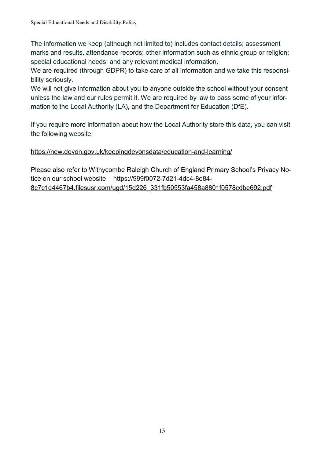The information we keep (although not limited to) includes contact details; assessment marks and results, attendance records; other information such as ethnic group or religion; special educational needs; and any relevant medical information.

We are required (through GDPR) to take care of all information and we take this responsibility seriously.

We will not give information about you to anyone outside the school without your consent unless the law and our rules permit it. We are required by law to pass some of your information to the Local Authority (LA), and the Department for Education (DfE).

If you require more information about how the Local Authority store this data, you can visit the following website:

## <https://new.devon.gov.uk/keepingdevonsdata/education-and-learning/>

Please also refer to Withycombe Raleigh Church of England Primary School's Privacy Notice on our school website [https://999f0072-7d21-4dc4-8e84-](https://999f0072-7d21-4dc4-8e84-8c7c1d4467b4.filesusr.com/ugd/15d226_331fb50553fa458a8801f0578cdbe692.pdf) [8c7c1d4467b4.filesusr.com/ugd/15d226\\_331fb50553fa458a8801f0578cdbe692.pdf](https://999f0072-7d21-4dc4-8e84-8c7c1d4467b4.filesusr.com/ugd/15d226_331fb50553fa458a8801f0578cdbe692.pdf)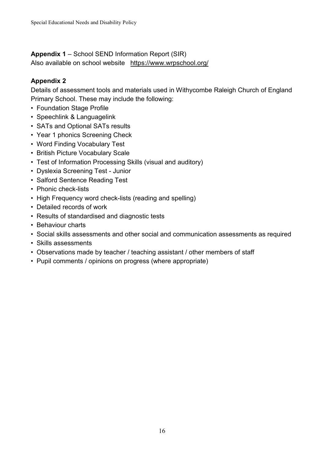#### **Appendix 1** – School SEND Information Report (SIR)

Also available on school website <https://www.wrpschool.org/>

### **Appendix 2**

Details of assessment tools and materials used in Withycombe Raleigh Church of England Primary School. These may include the following:

- Foundation Stage Profile
- Speechlink & Languagelink
- SATs and Optional SATs results
- Year 1 phonics Screening Check
- Word Finding Vocabulary Test
- British Picture Vocabulary Scale
- Test of Information Processing Skills (visual and auditory)
- Dyslexia Screening Test Junior
- Salford Sentence Reading Test
- Phonic check-lists
- High Frequency word check-lists (reading and spelling)
- Detailed records of work
- Results of standardised and diagnostic tests
- Behaviour charts
- Social skills assessments and other social and communication assessments as required
- Skills assessments
- Observations made by teacher / teaching assistant / other members of staff
- Pupil comments / opinions on progress (where appropriate)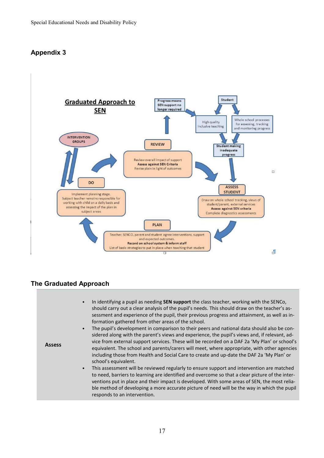## **Appendix 3**



#### **The Graduated Approach**